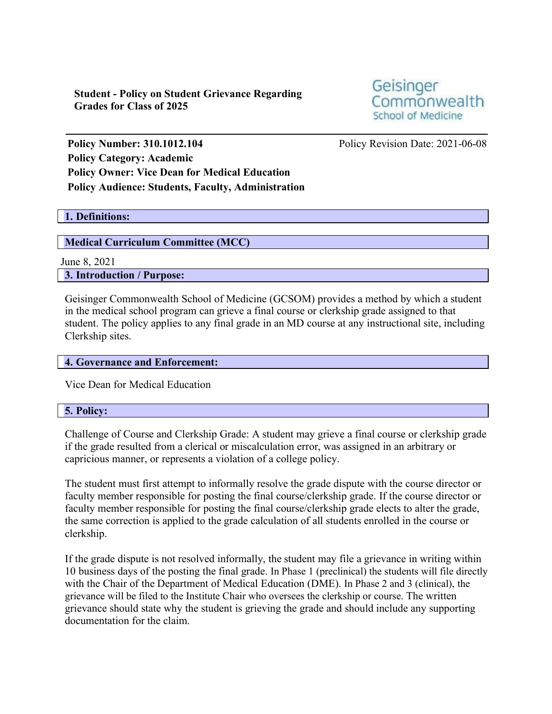**Student - Policy on Student Grievance Regarding Grades for Class of 2025**

Geisinger Commonwealth School of Medicine

**Policy Number: 310.1012.104** Policy Revision Date: 2021-06-08 **Policy Category: Academic Policy Owner: Vice Dean for Medical Education Policy Audience: Students, Faculty, Administration**

# **1. Definitions:**

### **Medical Curriculum Committee (MCC)**

June 8, 2021

**3. Introduction / Purpose:**

Geisinger Commonwealth School of Medicine (GCSOM) provides a method by which a student in the medical school program can grieve a final course or clerkship grade assigned to that student. The policy applies to any final grade in an MD course at any instructional site, including Clerkship sites.

# **4. Governance and Enforcement:**

Vice Dean for Medical Education

#### **5. Policy:**

Challenge of Course and Clerkship Grade: A student may grieve a final course or clerkship grade if the grade resulted from a clerical or miscalculation error, was assigned in an arbitrary or capricious manner, or represents a violation of a college policy.

The student must first attempt to informally resolve the grade dispute with the course director or faculty member responsible for posting the final course/clerkship grade. If the course director or faculty member responsible for posting the final course/clerkship grade elects to alter the grade, the same correction is applied to the grade calculation of all students enrolled in the course or clerkship.

If the grade dispute is not resolved informally, the student may file a grievance in writing within 10 business days of the posting the final grade. In Phase 1 (preclinical) the students will file directly with the Chair of the Department of Medical Education (DME). In Phase 2 and 3 (clinical), the grievance will be filed to the Institute Chair who oversees the clerkship or course. The written grievance should state why the student is grieving the grade and should include any supporting documentation for the claim.